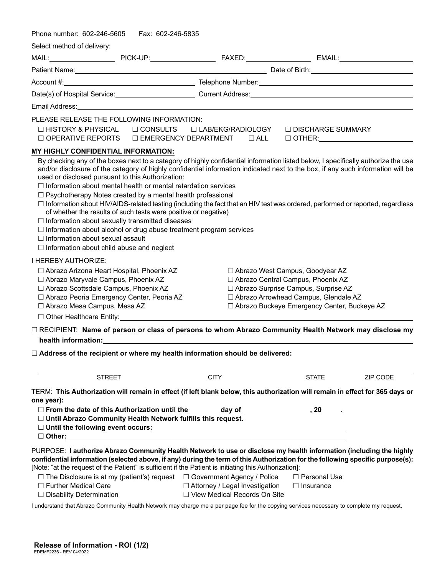| Phone number: 602-246-5605                                                                                                                                                                                                                                                                                                                                                                                              | Fax: 602-246-5835 |                                                                                                                                                                                                                                                                                                                                                                                                                                  |                                                                                                                                                                                                              |          |  |
|-------------------------------------------------------------------------------------------------------------------------------------------------------------------------------------------------------------------------------------------------------------------------------------------------------------------------------------------------------------------------------------------------------------------------|-------------------|----------------------------------------------------------------------------------------------------------------------------------------------------------------------------------------------------------------------------------------------------------------------------------------------------------------------------------------------------------------------------------------------------------------------------------|--------------------------------------------------------------------------------------------------------------------------------------------------------------------------------------------------------------|----------|--|
| Select method of delivery:                                                                                                                                                                                                                                                                                                                                                                                              |                   |                                                                                                                                                                                                                                                                                                                                                                                                                                  |                                                                                                                                                                                                              |          |  |
|                                                                                                                                                                                                                                                                                                                                                                                                                         |                   |                                                                                                                                                                                                                                                                                                                                                                                                                                  |                                                                                                                                                                                                              |          |  |
|                                                                                                                                                                                                                                                                                                                                                                                                                         |                   |                                                                                                                                                                                                                                                                                                                                                                                                                                  |                                                                                                                                                                                                              |          |  |
|                                                                                                                                                                                                                                                                                                                                                                                                                         |                   |                                                                                                                                                                                                                                                                                                                                                                                                                                  |                                                                                                                                                                                                              |          |  |
|                                                                                                                                                                                                                                                                                                                                                                                                                         |                   |                                                                                                                                                                                                                                                                                                                                                                                                                                  |                                                                                                                                                                                                              |          |  |
|                                                                                                                                                                                                                                                                                                                                                                                                                         |                   |                                                                                                                                                                                                                                                                                                                                                                                                                                  |                                                                                                                                                                                                              |          |  |
| PLEASE RELEASE THE FOLLOWING INFORMATION:<br>$\Box$ HISTORY & PHYSICAL<br>$\Box$ OPERATIVE REPORTS                                                                                                                                                                                                                                                                                                                      |                   | $\Box$ CONSULTS $\Box$ LAB/EKG/RADIOLOGY<br>$\Box$ EMERGENCY DEPARTMENT $\Box$ ALL                                                                                                                                                                                                                                                                                                                                               | □ DISCHARGE SUMMARY<br>$\Box$ OTHER: $\Box$                                                                                                                                                                  |          |  |
| MY HIGHLY CONFIDENTIAL INFORMATION:                                                                                                                                                                                                                                                                                                                                                                                     |                   |                                                                                                                                                                                                                                                                                                                                                                                                                                  |                                                                                                                                                                                                              |          |  |
| used or disclosed pursuant to this Authorization:<br>$\Box$ Information about mental health or mental retardation services<br>□ Psychotherapy Notes created by a mental health professional<br>of whether the results of such tests were positive or negative)<br>$\Box$ Information about sexually transmitted diseases<br>$\Box$ Information about sexual assault<br>$\Box$ Information about child abuse and neglect |                   | and/or disclosure of the category of highly confidential information indicated next to the box, if any such information will be<br>$\Box$ Information about HIV/AIDS-related testing (including the fact that an HIV test was ordered, performed or reported, regardless<br>$\Box$ Information about alcohol or drug abuse treatment program services                                                                            |                                                                                                                                                                                                              |          |  |
| <b>I HEREBY AUTHORIZE:</b><br>□ Abrazo Arizona Heart Hospital, Phoenix AZ<br>□ Abrazo Maryvale Campus, Phoenix AZ<br>□ Abrazo Scottsdale Campus, Phoenix AZ<br>□ Abrazo Peoria Emergency Center, Peoria AZ<br>□ Abrazo Mesa Campus, Mesa AZ                                                                                                                                                                             |                   |                                                                                                                                                                                                                                                                                                                                                                                                                                  | □ Abrazo West Campus, Goodyear AZ<br>□ Abrazo Central Campus, Phoenix AZ<br>□ Abrazo Surprise Campus, Surprise AZ<br>□ Abrazo Arrowhead Campus, Glendale AZ<br>□ Abrazo Buckeye Emergency Center, Buckeye AZ |          |  |
|                                                                                                                                                                                                                                                                                                                                                                                                                         |                   | □ RECIPIENT: Name of person or class of persons to whom Abrazo Community Health Network may disclose my<br>health information: the contract of the contract of the contract of the contract of the contract of the contract of the contract of the contract of the contract of the contract of the contract of the contract of the contra<br>$\Box$ Address of the recipient or where my health information should be delivered: |                                                                                                                                                                                                              |          |  |
| <b>STREET</b>                                                                                                                                                                                                                                                                                                                                                                                                           |                   | <b>CITY</b>                                                                                                                                                                                                                                                                                                                                                                                                                      | <b>STATE</b>                                                                                                                                                                                                 | ZIP CODE |  |
| one year):<br>□ Until Abrazo Community Health Network fulfills this request.                                                                                                                                                                                                                                                                                                                                            |                   | TERM: This Authorization will remain in effect (if left blank below, this authorization will remain in effect for 365 days or<br>□ From the date of this Authorization until the _______ day of ________________, 20_____.                                                                                                                                                                                                       |                                                                                                                                                                                                              |          |  |
|                                                                                                                                                                                                                                                                                                                                                                                                                         |                   | PURPOSE: I authorize Abrazo Community Health Network to use or disclose my health information (including the highly<br>confidential information (selected above, if any) during the term of this Authorization for the following specific purpose(s):                                                                                                                                                                            |                                                                                                                                                                                                              |          |  |
|                                                                                                                                                                                                                                                                                                                                                                                                                         |                   | [Note: "at the request of the Patient" is sufficient if the Patient is initiating this Authorization]:<br>$\Box$ The Disclosure is at my (patient's) request $\Box$ Government Agency / Police                                                                                                                                                                                                                                   | □ Personal Use                                                                                                                                                                                               |          |  |
| □ Further Medical Care<br>□ Disability Determination                                                                                                                                                                                                                                                                                                                                                                    |                   | □ Attorney / Legal Investigation<br>□ View Medical Records On Site                                                                                                                                                                                                                                                                                                                                                               | $\Box$ Insurance                                                                                                                                                                                             |          |  |

I understand that Abrazo Community Health Network may charge me a per page fee for the copying services necessary to complete my request.